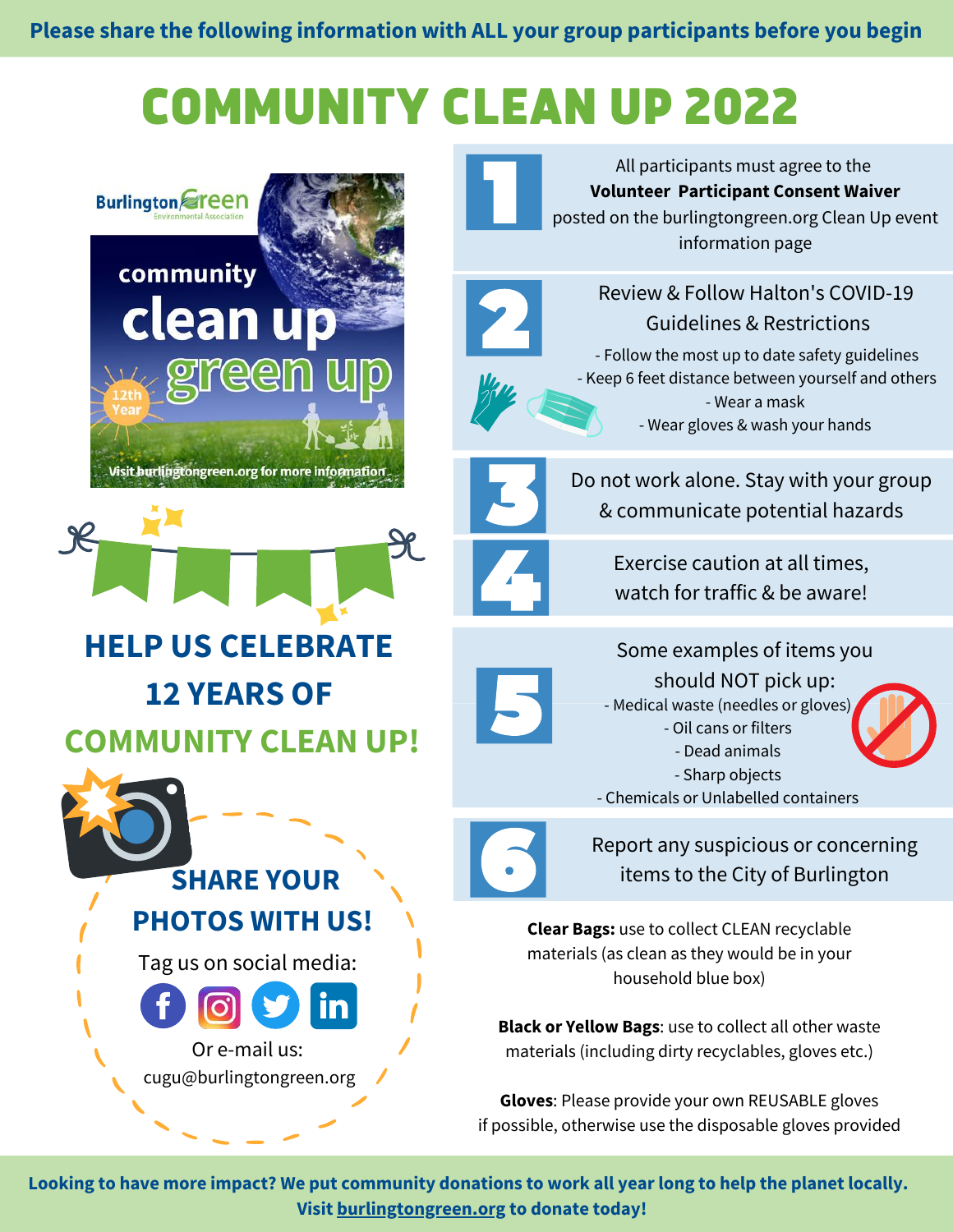## COMMUNITY CLEAN UP 2022



All participants must agree to the **Volunteer Participant Consent Waiver** posted on the burlingtongreen.org Clean Up event information page



Review & Follow Halton's COVID-19 Guidelines & Restrictions

- Follow the most up to date safety guidelines - Keep 6 feet distance between yourself and others - Wear a mask - Wear gloves & wash your hands



Do not work alone. Stay with your group & communicate potential hazards

> Exercise caution at all times, watch for traffic & be aware!



Report any suspicious or concerning items to the City of Burlington

**Clear Bags:** use to collect CLEAN recyclable materials (as clean as they would be in your household blue box)

**Black or Yellow Bags**: use to collect all other waste materials (including dirty recyclables, gloves etc.)

**Gloves**: Please provide your own REUSABLE gloves if possible, otherwise use the disposable gloves provided

Looking to have more impact? We put community donations to work all year long to help the planet locally. **Visit [burlingtongreen.org](https://www.burlingtongreen.org/donate/) to donate today!**